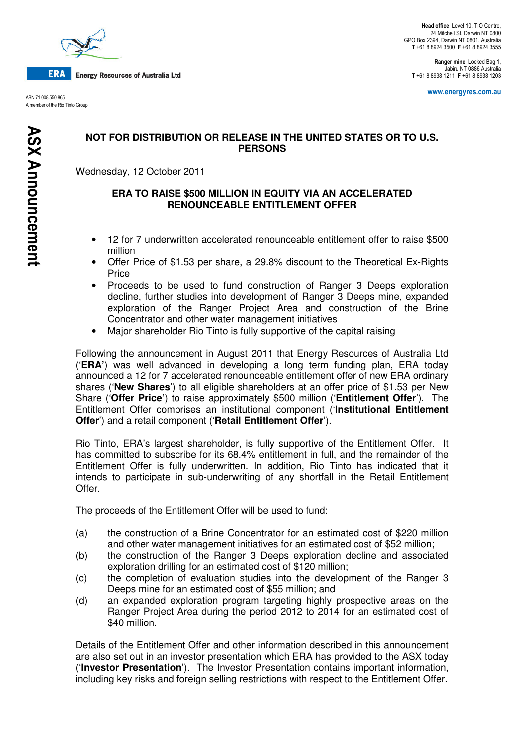

**ERA Energy Resources of Australia Ltd** 

ABN 71 008 550 865 A member of the Rio Tinto Group

Ranger mine Locked Bag 1, Jabiru NT 0886 Australia T +61 8 8938 1211 F +61 8 8938 1203

www.energyres.com.au

# **NOT FOR DISTRIBUTION OR RELEASE IN THE UNITED STATES OR TO U.S. PERSONS**

Wednesday, 12 October 2011

### **ERA TO RAISE \$500 MILLION IN EQUITY VIA AN ACCELERATED RENOUNCEABLE ENTITLEMENT OFFER**

- 12 for 7 underwritten accelerated renounceable entitlement offer to raise \$500 million
- Offer Price of \$1.53 per share, a 29.8% discount to the Theoretical Ex-Rights Price
- Proceeds to be used to fund construction of Ranger 3 Deeps exploration decline, further studies into development of Ranger 3 Deeps mine, expanded exploration of the Ranger Project Area and construction of the Brine Concentrator and other water management initiatives
- Major shareholder Rio Tinto is fully supportive of the capital raising

Following the announcement in August 2011 that Energy Resources of Australia Ltd ('**ERA'**) was well advanced in developing a long term funding plan, ERA today announced a 12 for 7 accelerated renounceable entitlement offer of new ERA ordinary shares ('**New Shares**') to all eligible shareholders at an offer price of \$1.53 per New Share ('**Offer Price'**) to raise approximately \$500 million ('**Entitlement Offer**'). The Entitlement Offer comprises an institutional component ('**Institutional Entitlement Offer**') and a retail component ('**Retail Entitlement Offer**').

Rio Tinto, ERA's largest shareholder, is fully supportive of the Entitlement Offer. It has committed to subscribe for its 68.4% entitlement in full, and the remainder of the Entitlement Offer is fully underwritten. In addition, Rio Tinto has indicated that it intends to participate in sub-underwriting of any shortfall in the Retail Entitlement Offer.

The proceeds of the Entitlement Offer will be used to fund:

- (a) the construction of a Brine Concentrator for an estimated cost of \$220 million and other water management initiatives for an estimated cost of \$52 million;
- (b) the construction of the Ranger 3 Deeps exploration decline and associated exploration drilling for an estimated cost of \$120 million;
- (c) the completion of evaluation studies into the development of the Ranger 3 Deeps mine for an estimated cost of \$55 million; and
- (d) an expanded exploration program targeting highly prospective areas on the Ranger Project Area during the period 2012 to 2014 for an estimated cost of \$40 million.

Details of the Entitlement Offer and other information described in this announcement are also set out in an investor presentation which ERA has provided to the ASX today ('**Investor Presentation**'). The Investor Presentation contains important information, including key risks and foreign selling restrictions with respect to the Entitlement Offer.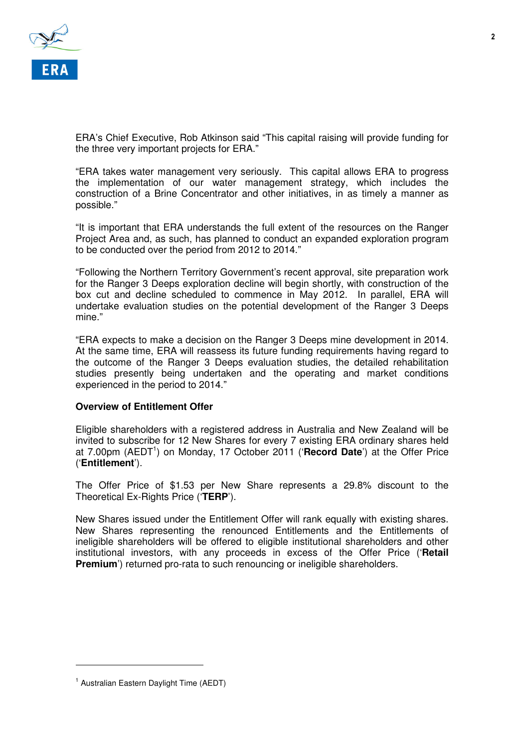

ERA's Chief Executive, Rob Atkinson said "This capital raising will provide funding for the three very important projects for ERA."

"ERA takes water management very seriously. This capital allows ERA to progress the implementation of our water management strategy, which includes the construction of a Brine Concentrator and other initiatives, in as timely a manner as possible."

"It is important that ERA understands the full extent of the resources on the Ranger Project Area and, as such, has planned to conduct an expanded exploration program to be conducted over the period from 2012 to 2014."

"Following the Northern Territory Government's recent approval, site preparation work for the Ranger 3 Deeps exploration decline will begin shortly, with construction of the box cut and decline scheduled to commence in May 2012. In parallel, ERA will undertake evaluation studies on the potential development of the Ranger 3 Deeps mine."

"ERA expects to make a decision on the Ranger 3 Deeps mine development in 2014. At the same time, ERA will reassess its future funding requirements having regard to the outcome of the Ranger 3 Deeps evaluation studies, the detailed rehabilitation studies presently being undertaken and the operating and market conditions experienced in the period to 2014."

## **Overview of Entitlement Offer**

Eligible shareholders with a registered address in Australia and New Zealand will be invited to subscribe for 12 New Shares for every 7 existing ERA ordinary shares held at 7.00pm (AEDT<sup>1</sup>) on Monday, 17 October 2011 ('Record Date') at the Offer Price ('**Entitlement**').

The Offer Price of \$1.53 per New Share represents a 29.8% discount to the Theoretical Ex-Rights Price ('**TERP**').

New Shares issued under the Entitlement Offer will rank equally with existing shares. New Shares representing the renounced Entitlements and the Entitlements of ineligible shareholders will be offered to eligible institutional shareholders and other institutional investors, with any proceeds in excess of the Offer Price ('**Retail Premium**<sup>'</sup>) returned pro-rata to such renouncing or ineligible shareholders.

 $\overline{a}$ 

 $\overline{\mathbf{2}}$ 

<sup>&</sup>lt;sup>1</sup> Australian Eastern Daylight Time (AEDT)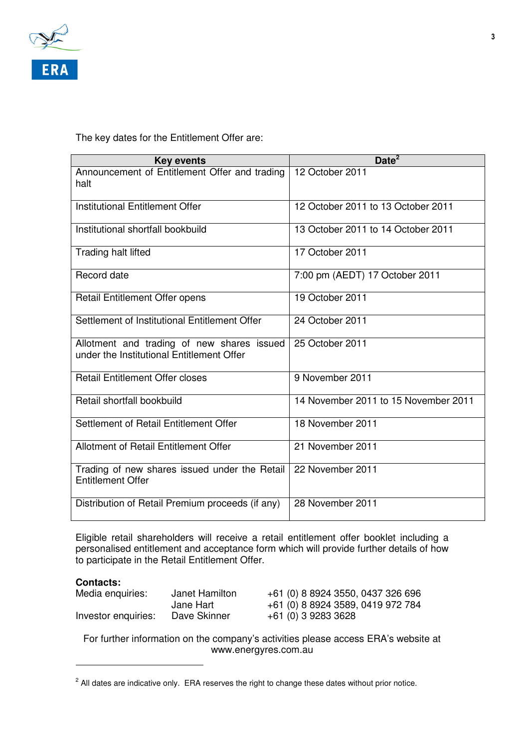

The key dates for the Entitlement Offer are:

| <b>Key events</b>                                                                       | Date <sup>2</sup>                    |
|-----------------------------------------------------------------------------------------|--------------------------------------|
| Announcement of Entitlement Offer and trading<br>halt                                   | 12 October 2011                      |
| Institutional Entitlement Offer                                                         | 12 October 2011 to 13 October 2011   |
| Institutional shortfall bookbuild                                                       | 13 October 2011 to 14 October 2011   |
| Trading halt lifted                                                                     | 17 October 2011                      |
| Record date                                                                             | 7:00 pm (AEDT) 17 October 2011       |
| Retail Entitlement Offer opens                                                          | 19 October 2011                      |
| Settlement of Institutional Entitlement Offer                                           | 24 October 2011                      |
| Allotment and trading of new shares issued<br>under the Institutional Entitlement Offer | 25 October 2011                      |
| <b>Retail Entitlement Offer closes</b>                                                  | 9 November 2011                      |
| Retail shortfall bookbuild                                                              | 14 November 2011 to 15 November 2011 |
| Settlement of Retail Entitlement Offer                                                  | 18 November 2011                     |
| Allotment of Retail Entitlement Offer                                                   | 21 November 2011                     |
| Trading of new shares issued under the Retail<br><b>Entitlement Offer</b>               | 22 November 2011                     |
| Distribution of Retail Premium proceeds (if any)                                        | 28 November 2011                     |

Eligible retail shareholders will receive a retail entitlement offer booklet including a personalised entitlement and acceptance form which will provide further details of how to participate in the Retail Entitlement Offer.

# **Contacts:**

 $\overline{a}$ 

| Media enquiries:    | Janet Hamilton | +61 (0) 8 8924 3550, 0437 326 696 |
|---------------------|----------------|-----------------------------------|
|                     | Jane Hart      | +61 (0) 8 8924 3589, 0419 972 784 |
| Investor enquiries: | Dave Skinner   | +61 (0) 3 9283 3628               |

For further information on the company's activities please access ERA's website at www.energyres.com.au

 $2$  All dates are indicative only. ERA reserves the right to change these dates without prior notice.